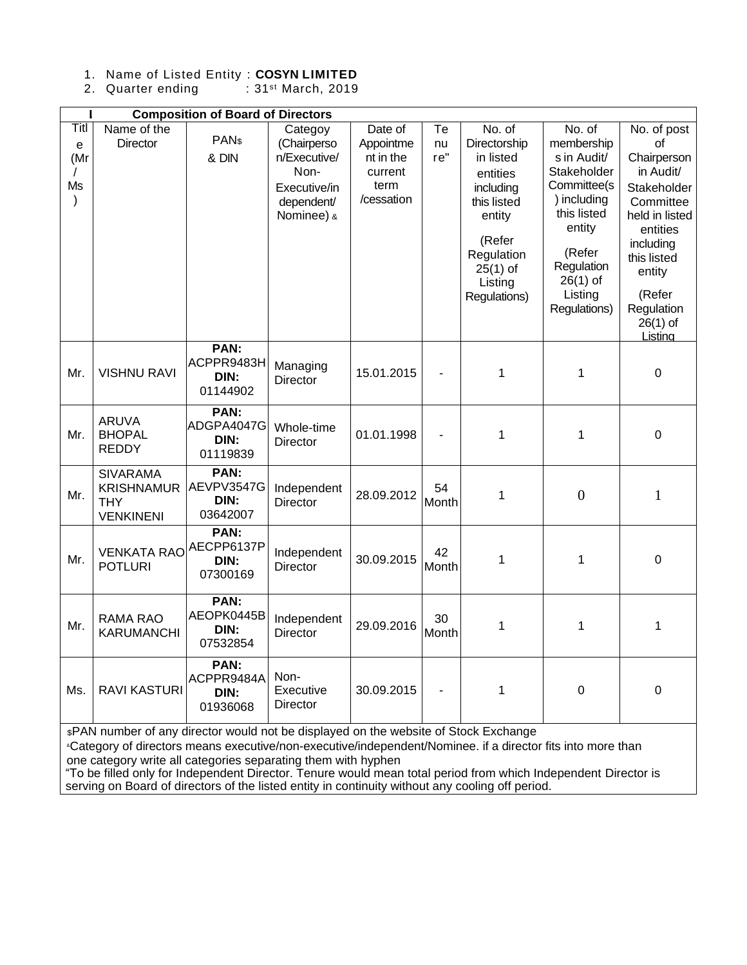## 1. Name of Listed Entity : **COSYN LIMITED**

2. Quarter ending : 31<sup>st</sup> March, 2019

| <b>Composition of Board of Directors</b> |                                                                        |                                        |                                                                                            |                                                                    |                 |                                                                                                                                                        |                                                                                                                                                                            |                                                                                                                                                                                                |  |  |  |  |
|------------------------------------------|------------------------------------------------------------------------|----------------------------------------|--------------------------------------------------------------------------------------------|--------------------------------------------------------------------|-----------------|--------------------------------------------------------------------------------------------------------------------------------------------------------|----------------------------------------------------------------------------------------------------------------------------------------------------------------------------|------------------------------------------------------------------------------------------------------------------------------------------------------------------------------------------------|--|--|--|--|
| Titl<br>e<br>(Mr<br>Ms<br>$\mathcal{E}$  | Name of the<br><b>Director</b>                                         | PAN <sub>\$</sub><br>& DIN             | Categoy<br>(Chairperso<br>n/Executive/<br>Non-<br>Executive/in<br>dependent/<br>Nominee) & | Date of<br>Appointme<br>nt in the<br>current<br>term<br>/cessation | Te<br>nu<br>re" | No. of<br>Directorship<br>in listed<br>entities<br>including<br>this listed<br>entity<br>(Refer<br>Regulation<br>$25(1)$ of<br>Listing<br>Regulations) | No. of<br>membership<br>s in Audit/<br>Stakeholder<br>Committee(s<br>) including<br>this listed<br>entity<br>(Refer<br>Regulation<br>$26(1)$ of<br>Listing<br>Regulations) | No. of post<br>of<br>Chairperson<br>in Audit/<br>Stakeholder<br>Committee<br>held in listed<br>entities<br>including<br>this listed<br>entity<br>(Refer<br>Regulation<br>$26(1)$ of<br>Listina |  |  |  |  |
| Mr.                                      | <b>VISHNU RAVI</b>                                                     | PAN:<br>ACPPR9483H<br>DIN:<br>01144902 | Managing<br>Director                                                                       | 15.01.2015                                                         |                 | 1                                                                                                                                                      | 1                                                                                                                                                                          | $\boldsymbol{0}$                                                                                                                                                                               |  |  |  |  |
| Mr.                                      | <b>ARUVA</b><br><b>BHOPAL</b><br><b>REDDY</b>                          | PAN:<br>ADGPA4047G<br>DIN:<br>01119839 | Whole-time<br>Director                                                                     | 01.01.1998                                                         |                 | 1                                                                                                                                                      | $\mathbf{1}$                                                                                                                                                               | $\mathbf 0$                                                                                                                                                                                    |  |  |  |  |
| Mr.                                      | <b>SIVARAMA</b><br><b>KRISHNAMUR</b><br><b>THY</b><br><b>VENKINENI</b> | PAN:<br>AEVPV3547G<br>DIN:<br>03642007 | Independent<br><b>Director</b>                                                             | 28.09.2012                                                         | 54<br>Month     | 1                                                                                                                                                      | $\overline{0}$                                                                                                                                                             | $\mathbf{1}$                                                                                                                                                                                   |  |  |  |  |
| Mr.                                      | <b>VENKATA RAO</b><br><b>POTLURI</b>                                   | PAN:<br>AECPP6137P<br>DIN:<br>07300169 | Independent<br><b>Director</b>                                                             | 30.09.2015                                                         | 42<br>Month     | 1                                                                                                                                                      | $\mathbf{1}$                                                                                                                                                               | $\mathbf 0$                                                                                                                                                                                    |  |  |  |  |
| Mr.                                      | <b>RAMA RAO</b><br><b>KARUMANCHI</b>                                   | PAN:<br>AEOPK0445B<br>DIN:<br>07532854 | Independent<br><b>Director</b>                                                             | 29.09.2016                                                         | 30<br>Month     | 1                                                                                                                                                      | $\mathbf{1}$                                                                                                                                                               | $\mathbf 1$                                                                                                                                                                                    |  |  |  |  |
| Ms.                                      | <b>RAVI KASTURI</b>                                                    | PAN:<br>ACPPR9484A<br>DIN:<br>01936068 | Non-<br>Executive<br>Director                                                              | 30.09.2015                                                         |                 | 1                                                                                                                                                      | $\mathbf 0$                                                                                                                                                                | $\boldsymbol{0}$                                                                                                                                                                               |  |  |  |  |

\$PAN number of any director would not be displayed on the website of Stock Exchange

&Category of directors means executive/non-executive/independent/Nominee. if a director fits into more than one category write all categories separating them with hyphen

"To be filled only for Independent Director. Tenure would mean total period from which Independent Director is serving on Board of directors of the listed entity in continuity without any cooling off period.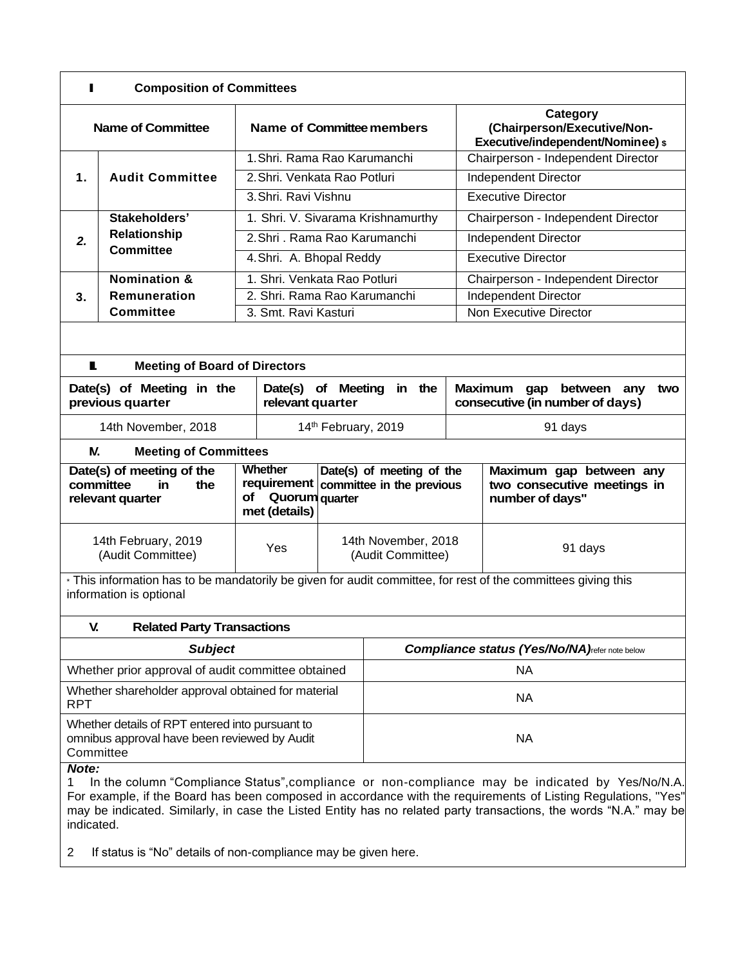| <b>Composition of Committees</b>                                                                                                         |                                                                                                 |                                                              |                                    |                                                        |                                    |                                                                                   |  |  |  |  |
|------------------------------------------------------------------------------------------------------------------------------------------|-------------------------------------------------------------------------------------------------|--------------------------------------------------------------|------------------------------------|--------------------------------------------------------|------------------------------------|-----------------------------------------------------------------------------------|--|--|--|--|
| <b>Name of Committee</b>                                                                                                                 |                                                                                                 | Name of Committee members                                    |                                    |                                                        |                                    | Category<br>(Chairperson/Executive/Non-<br>Executive/independent/Nominee) \$      |  |  |  |  |
|                                                                                                                                          |                                                                                                 | 1. Shri, Rama Rao Karumanchi                                 |                                    |                                                        |                                    | Chairperson - Independent Director                                                |  |  |  |  |
| $\mathbf 1$ .                                                                                                                            | <b>Audit Committee</b>                                                                          | 2. Shri, Venkata Rao Potluri                                 |                                    |                                                        |                                    | Independent Director                                                              |  |  |  |  |
|                                                                                                                                          |                                                                                                 | 3. Shri, Ravi Vishnu                                         |                                    |                                                        |                                    | <b>Executive Director</b>                                                         |  |  |  |  |
|                                                                                                                                          | Stakeholders'                                                                                   |                                                              | 1. Shri. V. Sivarama Krishnamurthy |                                                        | Chairperson - Independent Director |                                                                                   |  |  |  |  |
| 2.                                                                                                                                       | Relationship                                                                                    | 2. Shri . Rama Rao Karumanchi                                |                                    |                                                        | Independent Director               |                                                                                   |  |  |  |  |
|                                                                                                                                          | <b>Committee</b>                                                                                | 4. Shri. A. Bhopal Reddy                                     |                                    |                                                        | <b>Executive Director</b>          |                                                                                   |  |  |  |  |
|                                                                                                                                          | <b>Nomination &amp;</b>                                                                         | 1. Shri, Venkata Rao Potluri                                 |                                    |                                                        | Chairperson - Independent Director |                                                                                   |  |  |  |  |
| 3.                                                                                                                                       | Remuneration                                                                                    | 2. Shri, Rama Rao Karumanchi                                 |                                    | Independent Director                                   |                                    |                                                                                   |  |  |  |  |
|                                                                                                                                          | Committee                                                                                       | 3. Smt. Ravi Kasturi                                         |                                    |                                                        |                                    | Non Executive Director                                                            |  |  |  |  |
|                                                                                                                                          |                                                                                                 |                                                              |                                    |                                                        |                                    |                                                                                   |  |  |  |  |
| L<br><b>Meeting of Board of Directors</b>                                                                                                |                                                                                                 |                                                              |                                    |                                                        |                                    |                                                                                   |  |  |  |  |
|                                                                                                                                          | Date(s) of Meeting in the<br>previous quarter                                                   | Date(s) of Meeting<br>in the<br>relevant quarter             |                                    |                                                        |                                    | <b>Maximum</b><br>gap<br>between<br>any<br>two<br>consecutive (in number of days) |  |  |  |  |
|                                                                                                                                          | 14th November, 2018                                                                             | 14th February, 2019                                          |                                    |                                                        | 91 days                            |                                                                                   |  |  |  |  |
| N.                                                                                                                                       | <b>Meeting of Committees</b>                                                                    |                                                              |                                    |                                                        |                                    |                                                                                   |  |  |  |  |
|                                                                                                                                          | Date(s) of meeting of the<br>committee<br>the<br>in.<br>relevant quarter                        | Whether<br>requirement<br>of Quorum quarter<br>met (details) |                                    | Date(s) of meeting of the<br>committee in the previous |                                    | Maximum gap between any<br>two consecutive meetings in<br>number of days"         |  |  |  |  |
| 14th February, 2019<br>(Audit Committee)                                                                                                 |                                                                                                 | Yes                                                          |                                    | 14th November, 2018<br>(Audit Committee)               |                                    | 91 days                                                                           |  |  |  |  |
| * This information has to be mandatorily be given for audit committee, for rest of the committees giving this<br>information is optional |                                                                                                 |                                                              |                                    |                                                        |                                    |                                                                                   |  |  |  |  |
| V.<br><b>Related Party Transactions</b>                                                                                                  |                                                                                                 |                                                              |                                    |                                                        |                                    |                                                                                   |  |  |  |  |
|                                                                                                                                          | <b>Subject</b>                                                                                  |                                                              |                                    | <b>Compliance status (Yes/No/NA)refer note below</b>   |                                    |                                                                                   |  |  |  |  |
|                                                                                                                                          | Whether prior approval of audit committee obtained                                              |                                                              |                                    | <b>NA</b>                                              |                                    |                                                                                   |  |  |  |  |
| <b>RPT</b>                                                                                                                               | Whether shareholder approval obtained for material                                              |                                                              |                                    | <b>NA</b>                                              |                                    |                                                                                   |  |  |  |  |
| Committee                                                                                                                                | Whether details of RPT entered into pursuant to<br>omnibus approval have been reviewed by Audit |                                                              |                                    | <b>NA</b>                                              |                                    |                                                                                   |  |  |  |  |
| Note:<br>In the column "Compliance Status" compliance or non-compliance may be indicated by Ves/No/N A                                   |                                                                                                 |                                                              |                                    |                                                        |                                    |                                                                                   |  |  |  |  |

1 In the column "Compliance Status",compliance or non-compliance may be indicated by Yes/No/N.A. For example, if the Board has been composed in accordance with the requirements of Listing Regulations, "Yes" may be indicated. Similarly, in case the Listed Entity has no related party transactions, the words "N.A." may be indicated.

2 If status is "No" details of non-compliance may be given here.